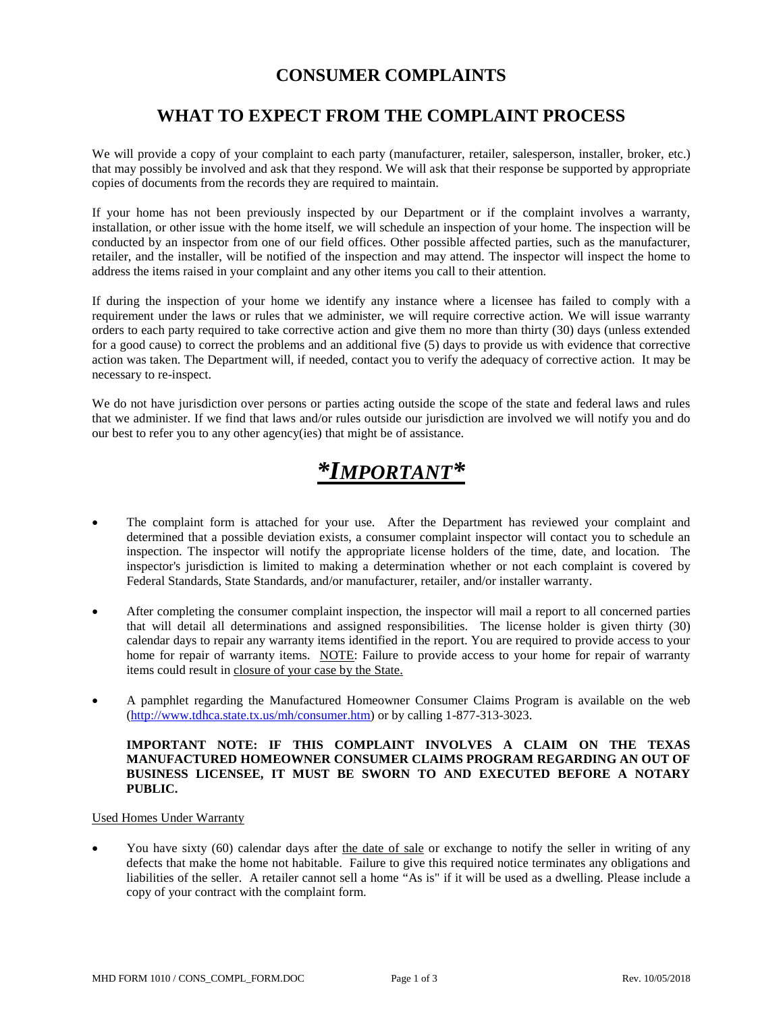## **CONSUMER COMPLAINTS**

## **WHAT TO EXPECT FROM THE COMPLAINT PROCESS**

We will provide a copy of your complaint to each party (manufacturer, retailer, salesperson, installer, broker, etc.) that may possibly be involved and ask that they respond. We will ask that their response be supported by appropriate copies of documents from the records they are required to maintain.

If your home has not been previously inspected by our Department or if the complaint involves a warranty, installation, or other issue with the home itself, we will schedule an inspection of your home. The inspection will be conducted by an inspector from one of our field offices. Other possible affected parties, such as the manufacturer, retailer, and the installer, will be notified of the inspection and may attend. The inspector will inspect the home to address the items raised in your complaint and any other items you call to their attention.

If during the inspection of your home we identify any instance where a licensee has failed to comply with a requirement under the laws or rules that we administer, we will require corrective action. We will issue warranty orders to each party required to take corrective action and give them no more than thirty (30) days (unless extended for a good cause) to correct the problems and an additional five (5) days to provide us with evidence that corrective action was taken. The Department will, if needed, contact you to verify the adequacy of corrective action. It may be necessary to re-inspect.

We do not have jurisdiction over persons or parties acting outside the scope of the state and federal laws and rules that we administer. If we find that laws and/or rules outside our jurisdiction are involved we will notify you and do our best to refer you to any other agency(ies) that might be of assistance.

# *\*IMPORTANT\**

- The complaint form is attached for your use. After the Department has reviewed your complaint and determined that a possible deviation exists, a consumer complaint inspector will contact you to schedule an inspection. The inspector will notify the appropriate license holders of the time, date, and location. The inspector's jurisdiction is limited to making a determination whether or not each complaint is covered by Federal Standards, State Standards, and/or manufacturer, retailer, and/or installer warranty.
- After completing the consumer complaint inspection, the inspector will mail a report to all concerned parties that will detail all determinations and assigned responsibilities. The license holder is given thirty (30) calendar days to repair any warranty items identified in the report. You are required to provide access to your home for repair of warranty items. NOTE: Failure to provide access to your home for repair of warranty items could result in closure of your case by the State.
- A pamphlet regarding the Manufactured Homeowner Consumer Claims Program is available on the web [\(http://www.tdhca.state.tx.us/mh/consumer.htm\)](http://www.tdhca.state.tx.us/mh/consumer.htm) or by calling 1-877-313-3023.

#### **IMPORTANT NOTE: IF THIS COMPLAINT INVOLVES A CLAIM ON THE TEXAS MANUFACTURED HOMEOWNER CONSUMER CLAIMS PROGRAM REGARDING AN OUT OF BUSINESS LICENSEE, IT MUST BE SWORN TO AND EXECUTED BEFORE A NOTARY PUBLIC.**

#### Used Homes Under Warranty

You have sixty (60) calendar days after the date of sale or exchange to notify the seller in writing of any defects that make the home not habitable. Failure to give this required notice terminates any obligations and liabilities of the seller. A retailer cannot sell a home "As is" if it will be used as a dwelling. Please include a copy of your contract with the complaint form.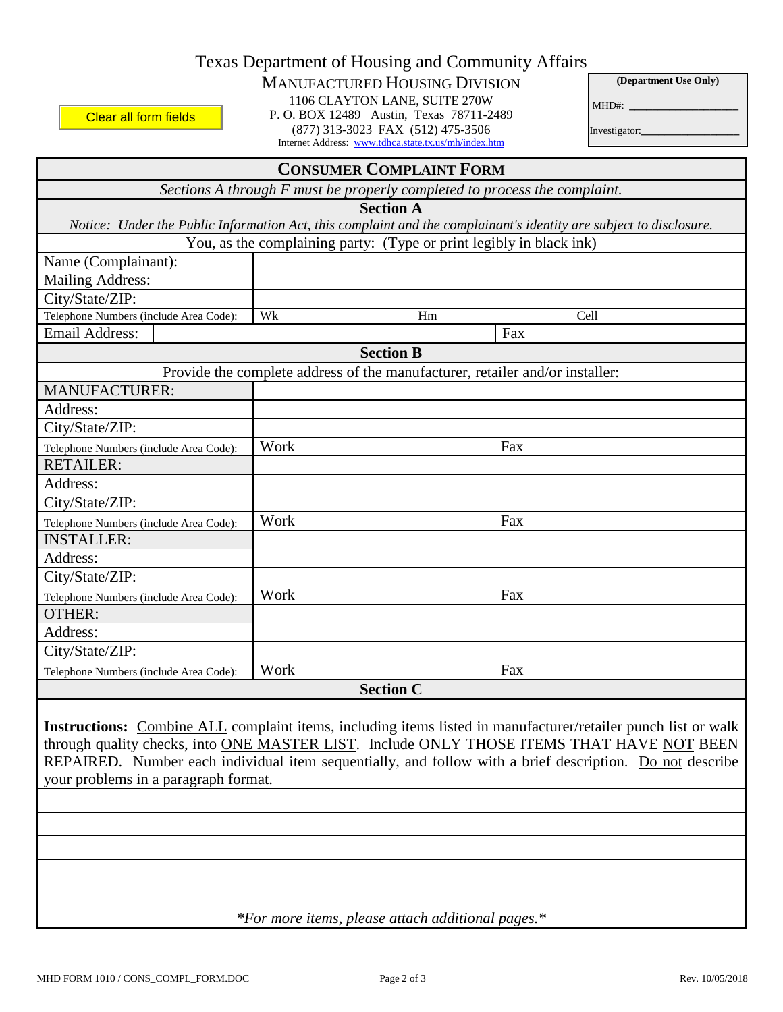|  |  | Texas Department of Housing and Community Affairs |
|--|--|---------------------------------------------------|
|  |  |                                                   |

### MANUFACTURED HOUSING DIVISION

1106 CLAYTON LANE, SUITE 270W

Clear all form fields

P. O. BOX 12489 Austin, Texas 78711-2489 (877) 313-3023 FAX (512) 475-3506 Internet Address: www.tdhca.state.tx.us/mh/index.htm

**(Department Use Only)** MHD#: **\_\_\_\_\_\_\_\_\_\_\_\_\_\_\_\_\_\_\_**

Investigator:**\_\_\_\_\_\_\_\_\_\_\_\_\_\_\_\_\_**

| <b>CONSUMER COMPLAINT FORM</b>                                                                                                                                                                                                                                                                                                                                 |                                                                              |      |  |  |  |  |  |
|----------------------------------------------------------------------------------------------------------------------------------------------------------------------------------------------------------------------------------------------------------------------------------------------------------------------------------------------------------------|------------------------------------------------------------------------------|------|--|--|--|--|--|
| Sections A through F must be properly completed to process the complaint.                                                                                                                                                                                                                                                                                      |                                                                              |      |  |  |  |  |  |
| <b>Section A</b>                                                                                                                                                                                                                                                                                                                                               |                                                                              |      |  |  |  |  |  |
| Notice: Under the Public Information Act, this complaint and the complainant's identity are subject to disclosure.                                                                                                                                                                                                                                             |                                                                              |      |  |  |  |  |  |
|                                                                                                                                                                                                                                                                                                                                                                | You, as the complaining party: (Type or print legibly in black ink)          |      |  |  |  |  |  |
| Name (Complainant):                                                                                                                                                                                                                                                                                                                                            |                                                                              |      |  |  |  |  |  |
| <b>Mailing Address:</b>                                                                                                                                                                                                                                                                                                                                        |                                                                              |      |  |  |  |  |  |
| City/State/ZIP:                                                                                                                                                                                                                                                                                                                                                |                                                                              |      |  |  |  |  |  |
| Telephone Numbers (include Area Code):                                                                                                                                                                                                                                                                                                                         | Wk<br>Hm                                                                     | Cell |  |  |  |  |  |
| <b>Email Address:</b>                                                                                                                                                                                                                                                                                                                                          |                                                                              | Fax  |  |  |  |  |  |
|                                                                                                                                                                                                                                                                                                                                                                | <b>Section B</b>                                                             |      |  |  |  |  |  |
|                                                                                                                                                                                                                                                                                                                                                                | Provide the complete address of the manufacturer, retailer and/or installer: |      |  |  |  |  |  |
| <b>MANUFACTURER:</b>                                                                                                                                                                                                                                                                                                                                           |                                                                              |      |  |  |  |  |  |
| Address:                                                                                                                                                                                                                                                                                                                                                       |                                                                              |      |  |  |  |  |  |
| City/State/ZIP:                                                                                                                                                                                                                                                                                                                                                |                                                                              |      |  |  |  |  |  |
| Telephone Numbers (include Area Code):                                                                                                                                                                                                                                                                                                                         | Work                                                                         | Fax  |  |  |  |  |  |
| <b>RETAILER:</b>                                                                                                                                                                                                                                                                                                                                               |                                                                              |      |  |  |  |  |  |
| Address:                                                                                                                                                                                                                                                                                                                                                       |                                                                              |      |  |  |  |  |  |
| City/State/ZIP:                                                                                                                                                                                                                                                                                                                                                |                                                                              |      |  |  |  |  |  |
| Telephone Numbers (include Area Code):                                                                                                                                                                                                                                                                                                                         | Work                                                                         | Fax  |  |  |  |  |  |
| <b>INSTALLER:</b>                                                                                                                                                                                                                                                                                                                                              |                                                                              |      |  |  |  |  |  |
| Address:                                                                                                                                                                                                                                                                                                                                                       |                                                                              |      |  |  |  |  |  |
| City/State/ZIP:                                                                                                                                                                                                                                                                                                                                                |                                                                              |      |  |  |  |  |  |
|                                                                                                                                                                                                                                                                                                                                                                | Work                                                                         | Fax  |  |  |  |  |  |
| Telephone Numbers (include Area Code):<br><b>OTHER:</b>                                                                                                                                                                                                                                                                                                        |                                                                              |      |  |  |  |  |  |
| Address:                                                                                                                                                                                                                                                                                                                                                       |                                                                              |      |  |  |  |  |  |
| City/State/ZIP:                                                                                                                                                                                                                                                                                                                                                |                                                                              |      |  |  |  |  |  |
|                                                                                                                                                                                                                                                                                                                                                                |                                                                              |      |  |  |  |  |  |
| Telephone Numbers (include Area Code):                                                                                                                                                                                                                                                                                                                         | Work                                                                         | Fax  |  |  |  |  |  |
|                                                                                                                                                                                                                                                                                                                                                                | <b>Section C</b>                                                             |      |  |  |  |  |  |
| Instructions: Combine ALL complaint items, including items listed in manufacturer/retailer punch list or walk<br>through quality checks, into ONE MASTER LIST. Include ONLY THOSE ITEMS THAT HAVE NOT BEEN<br>REPAIRED. Number each individual item sequentially, and follow with a brief description. Do not describe<br>your problems in a paragraph format. |                                                                              |      |  |  |  |  |  |
|                                                                                                                                                                                                                                                                                                                                                                |                                                                              |      |  |  |  |  |  |
|                                                                                                                                                                                                                                                                                                                                                                |                                                                              |      |  |  |  |  |  |
| *For more items, please attach additional pages.*                                                                                                                                                                                                                                                                                                              |                                                                              |      |  |  |  |  |  |